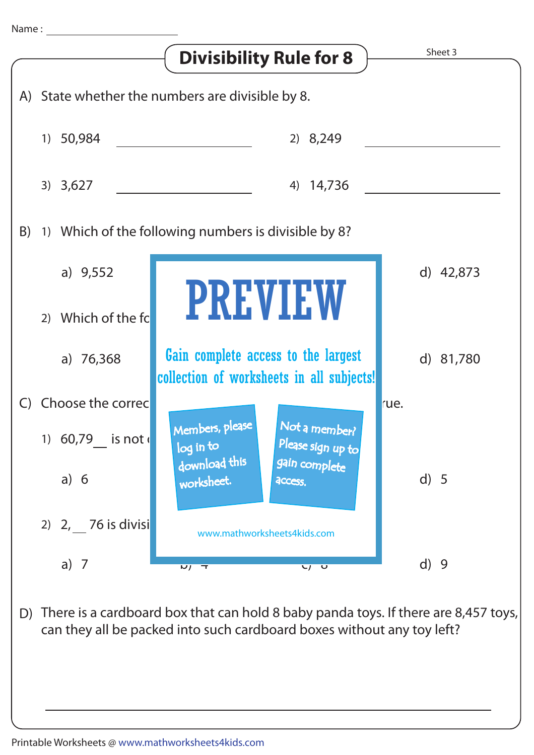